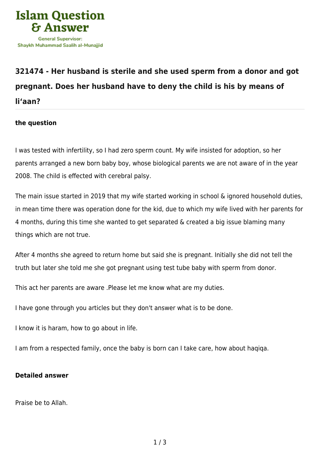

## **[321474 - Her husband is sterile and she used sperm from a donor and got](https://islamqa.info/en/answers/321474/her-husband-is-sterile-and-she-used-sperm-from-a-donor-and-got-pregnant-does-her-husband-have-to-deny-the-child-is-his-by-means-of-liaan) [pregnant. Does her husband have to deny the child is his by means of](https://islamqa.info/en/answers/321474/her-husband-is-sterile-and-she-used-sperm-from-a-donor-and-got-pregnant-does-her-husband-have-to-deny-the-child-is-his-by-means-of-liaan) [li'aan?](https://islamqa.info/en/answers/321474/her-husband-is-sterile-and-she-used-sperm-from-a-donor-and-got-pregnant-does-her-husband-have-to-deny-the-child-is-his-by-means-of-liaan)**

## **the question**

I was tested with infertility, so I had zero sperm count. My wife insisted for adoption, so her parents arranged a new born baby boy, whose biological parents we are not aware of in the year 2008. The child is effected with cerebral palsy.

The main issue started in 2019 that my wife started working in school & ignored household duties, in mean time there was operation done for the kid, due to which my wife lived with her parents for 4 months, during this time she wanted to get separated & created a big issue blaming many things which are not true.

After 4 months she agreed to return home but said she is pregnant. Initially she did not tell the truth but later she told me she got pregnant using test tube baby with sperm from donor.

This act her parents are aware .Please let me know what are my duties.

I have gone through you articles but they don't answer what is to be done.

I know it is haram, how to go about in life.

I am from a respected family, once the baby is born can I take care, how about haqiqa.

## **Detailed answer**

Praise be to Allah.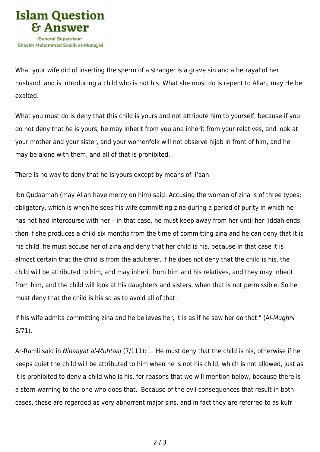

What your wife did of inserting the sperm of a stranger is a grave sin and a betrayal of her husband, and is introducing a child who is not his. What she must do is repent to Allah, may He be exalted.

What you must do is deny that this child is yours and not attribute him to yourself, because if you do not deny that he is yours, he may inherit from you and inherit from your relatives, and look at your mother and your sister, and your womenfolk will not observe hijab in front of him, and he may be alone with them, and all of that is prohibited.

There is no way to deny that he is yours except by means of li'aan.

Ibn Qudaamah (may Allah have mercy on him) said: Accusing the woman of zina is of three types: obligatory, which is when he sees his wife committing zina during a period of purity in which he has not had intercourse with her – in that case, he must keep away from her until her 'iddah ends, then if she produces a child six months from the time of committing zina and he can deny that it is his child, he must accuse her of zina and deny that her child is his, because in that case it is almost certain that the child is from the adulterer. If he does not deny that the child is his, the child will be attributed to him, and may inherit from him and his relatives, and they may inherit from him, and the child will look at his daughters and sisters, when that is not permissible. So he must deny that the child is his so as to avoid all of that.

If his wife admits committing zina and he believes her, it is as if he saw her do that." (Al-Mughni 8/71).

Ar-Ramli said in Nihaayat al-Muhtaaj (7/111): … He must deny that the child is his, otherwise if he keeps quiet the child will be attributed to him when he is not his child, which is not allowed, just as it is prohibited to deny a child who is his, for reasons that we will mention below, because there is a stern warning to the one who does that. Because of the evil consequences that result in both cases, these are regarded as very abhorrent major sins, and in fact they are referred to as kufr